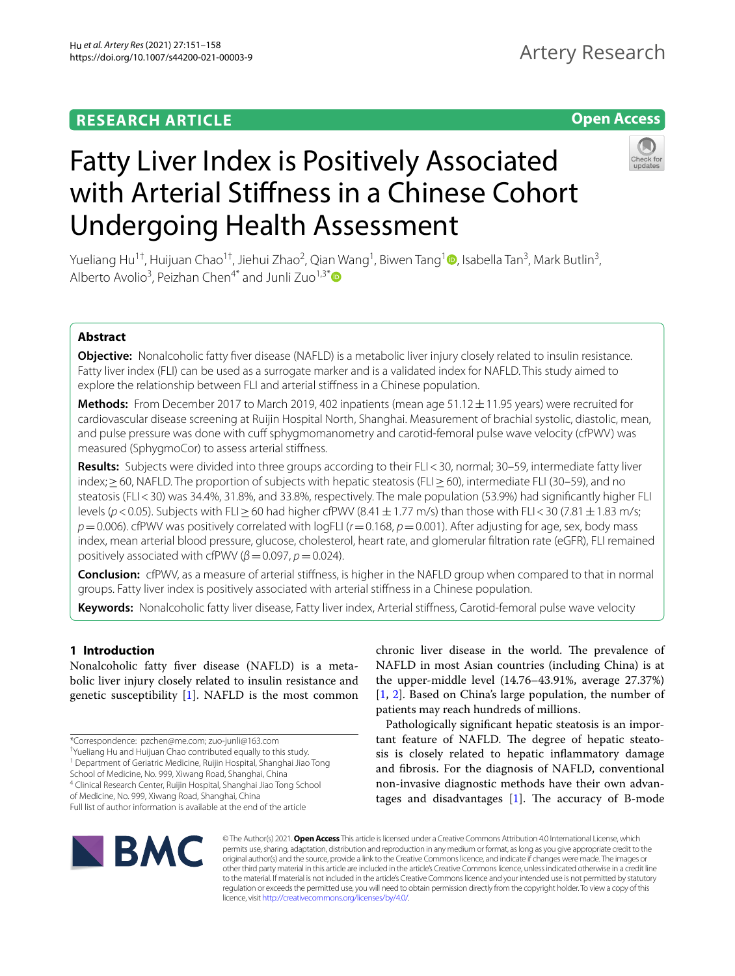# **RESEARCH ARTICLE**

# **Open Access**



# Fatty Liver Index is Positively Associated with Arterial Stifness in a Chinese Cohort Undergoing Health Assessment

Yueliang Hu<sup>[1](http://orcid.org/0000-0002-3966-5443)†</sup>, Huijuan Chao<sup>1†</sup>, Jiehui Zhao<sup>2</sup>, Qian Wang<sup>1</sup>, Biwen Tang<sup>1</sup>. Isabella Tan<sup>3</sup>, Mark Butlin<sup>3</sup>, Alberto Avolio<sup>3</sup>, Peizhan Chen<sup>4[\\*](http://orcid.org/0000-0002-9850-405X)</sup> and Junli Zuo<sup>1,3\*</sup>

# **Abstract**

**Objective:** Nonalcoholic fatty fver disease (NAFLD) is a metabolic liver injury closely related to insulin resistance. Fatty liver index (FLI) can be used as a surrogate marker and is a validated index for NAFLD. This study aimed to explore the relationship between FLI and arterial stifness in a Chinese population.

**Methods:** From December 2017 to March 2019, 402 inpatients (mean age 51.12±11.95 years) were recruited for cardiovascular disease screening at Ruijin Hospital North, Shanghai. Measurement of brachial systolic, diastolic, mean, and pulse pressure was done with cuff sphygmomanometry and carotid-femoral pulse wave velocity (cfPWV) was measured (SphygmoCor) to assess arterial stifness.

**Results:** Subjects were divided into three groups according to their FLI<30, normal; 30–59, intermediate fatty liver index;≥60, NAFLD. The proportion of subjects with hepatic steatosis (FLI≥60), intermediate FLI (30–59), and no steatosis (FLI<30) was 34.4%, 31.8%, and 33.8%, respectively. The male population (53.9%) had signifcantly higher FLI levels (*p*<0.05). Subjects with FLI≥60 had higher cfPWV (8.41±1.77 m/s) than those with FLI<30 (7.81±1.83 m/s;  $p=0.006$ ). cfPWV was positively correlated with logFLI ( $r=0.168$ ,  $p=0.001$ ). After adjusting for age, sex, body mass index, mean arterial blood pressure, glucose, cholesterol, heart rate, and glomerular fltration rate (eGFR), FLI remained positively associated with cfPWV ( $\beta$  = 0.097,  $p$  = 0.024).

**Conclusion:** cfPWV, as a measure of arterial stifness, is higher in the NAFLD group when compared to that in normal groups. Fatty liver index is positively associated with arterial stifness in a Chinese population.

**Keywords:** Nonalcoholic fatty liver disease, Fatty liver index, Arterial stifness, Carotid-femoral pulse wave velocity

# **1 Introduction**

Nonalcoholic fatty fver disease (NAFLD) is a metabolic liver injury closely related to insulin resistance and genetic susceptibility [\[1\]](#page-6-0). NAFLD is the most common

<sup>1</sup> Department of Geriatric Medicine, Ruijin Hospital, Shanghai Jiao Tong

School of Medicine, No. 999, Xiwang Road, Shanghai, China

4 Clinical Research Center, Ruijin Hospital, Shanghai Jiao Tong School

of Medicine, No. 999, Xiwang Road, Shanghai, China Full list of author information is available at the end of the article NAFLD in most Asian countries (including China) is at the upper-middle level (14.76–43.91%, average 27.37%) [[1,](#page-6-0) [2](#page-6-1)]. Based on China's large population, the number of patients may reach hundreds of millions. Pathologically signifcant hepatic steatosis is an impor-

chronic liver disease in the world. The prevalence of

tant feature of NAFLD. The degree of hepatic steatosis is closely related to hepatic infammatory damage and fbrosis. For the diagnosis of NAFLD, conventional non-invasive diagnostic methods have their own advantages and disadvantages  $[1]$  $[1]$ . The accuracy of B-mode



© The Author(s) 2021. **Open Access** This article is licensed under a Creative Commons Attribution 4.0 International License, which permits use, sharing, adaptation, distribution and reproduction in any medium or format, as long as you give appropriate credit to the original author(s) and the source, provide a link to the Creative Commons licence, and indicate if changes were made. The images or other third party material in this article are included in the article's Creative Commons licence, unless indicated otherwise in a credit line to the material. If material is not included in the article's Creative Commons licence and your intended use is not permitted by statutory regulation or exceeds the permitted use, you will need to obtain permission directly from the copyright holder. To view a copy of this licence, visit [http://creativecommons.org/licenses/by/4.0/.](http://creativecommons.org/licenses/by/4.0/)

<sup>\*</sup>Correspondence: pzchen@me.com; zuo-junli@163.com

<sup>†</sup> Yueliang Hu and Huijuan Chao contributed equally to this study.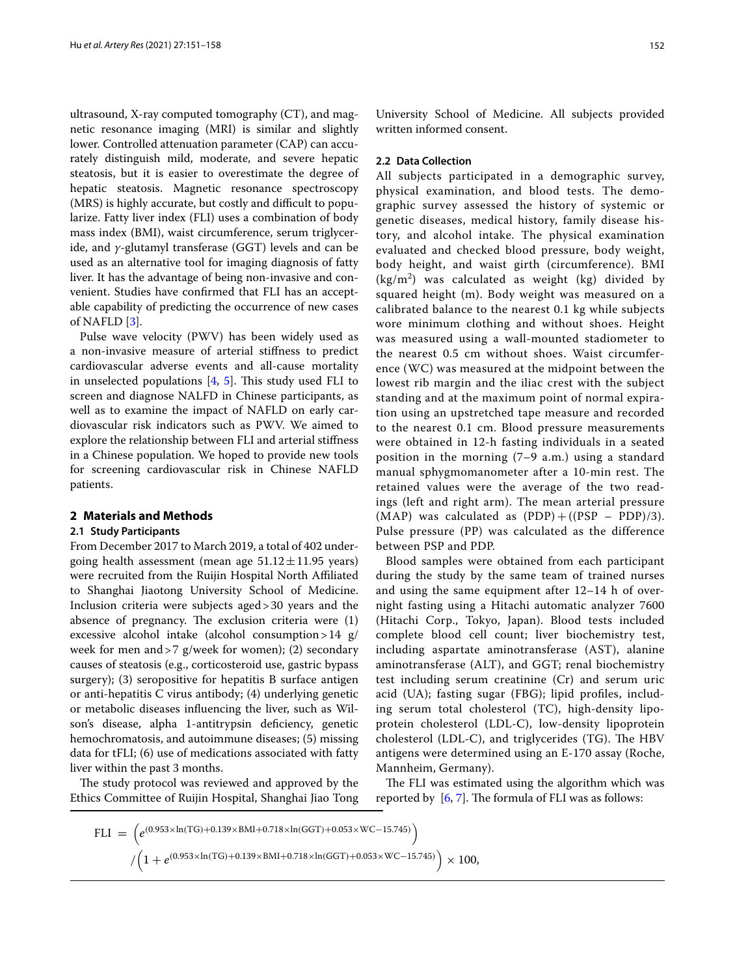ultrasound, X-ray computed tomography (CT), and magnetic resonance imaging (MRI) is similar and slightly lower. Controlled attenuation parameter (CAP) can accurately distinguish mild, moderate, and severe hepatic steatosis, but it is easier to overestimate the degree of hepatic steatosis. Magnetic resonance spectroscopy (MRS) is highly accurate, but costly and difficult to popularize. Fatty liver index (FLI) uses a combination of body mass index (BMI), waist circumference, serum triglyceride, and *γ*-glutamyl transferase (GGT) levels and can be used as an alternative tool for imaging diagnosis of fatty liver. It has the advantage of being non-invasive and convenient. Studies have confrmed that FLI has an acceptable capability of predicting the occurrence of new cases of NAFLD [\[3](#page-7-0)].

Pulse wave velocity (PWV) has been widely used as a non-invasive measure of arterial stifness to predict cardiovascular adverse events and all-cause mortality in unselected populations  $[4, 5]$  $[4, 5]$  $[4, 5]$  $[4, 5]$  $[4, 5]$ . This study used FLI to screen and diagnose NALFD in Chinese participants, as well as to examine the impact of NAFLD on early cardiovascular risk indicators such as PWV. We aimed to explore the relationship between FLI and arterial stifness in a Chinese population. We hoped to provide new tools for screening cardiovascular risk in Chinese NAFLD patients.

# **2 Materials and Methods**

# **2.1 Study Participants**

From December 2017 to March 2019, a total of 402 undergoing health assessment (mean age  $51.12 \pm 11.95$  years) were recruited from the Ruijin Hospital North Afliated to Shanghai Jiaotong University School of Medicine. Inclusion criteria were subjects aged>30 years and the absence of pregnancy. The exclusion criteria were  $(1)$ excessive alcohol intake (alcohol consumption >  $14 \text{ g}/$ week for men and>7 g/week for women); (2) secondary causes of steatosis (e.g., corticosteroid use, gastric bypass surgery); (3) seropositive for hepatitis B surface antigen or anti-hepatitis C virus antibody; (4) underlying genetic or metabolic diseases infuencing the liver, such as Wilson's disease, alpha 1-antitrypsin defciency, genetic hemochromatosis, and autoimmune diseases; (5) missing data for tFLI; (6) use of medications associated with fatty liver within the past 3 months.

The study protocol was reviewed and approved by the Ethics Committee of Ruijin Hospital, Shanghai Jiao Tong

University School of Medicine. All subjects provided written informed consent.

## **2.2 Data Collection**

All subjects participated in a demographic survey, physical examination, and blood tests. The demographic survey assessed the history of systemic or genetic diseases, medical history, family disease history, and alcohol intake. The physical examination evaluated and checked blood pressure, body weight, body height, and waist girth (circumference). BMI  $(kg/m<sup>2</sup>)$  was calculated as weight (kg) divided by squared height (m). Body weight was measured on a calibrated balance to the nearest 0.1 kg while subjects wore minimum clothing and without shoes. Height was measured using a wall-mounted stadiometer to the nearest 0.5 cm without shoes. Waist circumference (WC) was measured at the midpoint between the lowest rib margin and the iliac crest with the subject standing and at the maximum point of normal expiration using an upstretched tape measure and recorded to the nearest 0.1 cm. Blood pressure measurements were obtained in 12-h fasting individuals in a seated position in the morning (7–9 a.m.) using a standard manual sphygmomanometer after a 10-min rest. The retained values were the average of the two readings (left and right arm). The mean arterial pressure (MAP) was calculated as  $(PDP) + ((PSP - PDP)/3)$ . Pulse pressure (PP) was calculated as the difference between PSP and PDP.

Blood samples were obtained from each participant during the study by the same team of trained nurses and using the same equipment after 12–14 h of overnight fasting using a Hitachi automatic analyzer 7600 (Hitachi Corp., Tokyo, Japan). Blood tests included complete blood cell count; liver biochemistry test, including aspartate aminotransferase (AST), alanine aminotransferase (ALT), and GGT; renal biochemistry test including serum creatinine (Cr) and serum uric acid (UA); fasting sugar (FBG); lipid profles, including serum total cholesterol (TC), high-density lipoprotein cholesterol (LDL-C), low-density lipoprotein cholesterol (LDL-C), and triglycerides (TG). The HBV antigens were determined using an E-170 assay (Roche, Mannheim, Germany).

The FLI was estimated using the algorithm which was reported by  $[6, 7]$  $[6, 7]$  $[6, 7]$ . The formula of FLI was as follows:

$$
FLI = (e^{(0.953 \times \ln(TG) + 0.139 \times \text{BMI} + 0.718 \times \ln(\text{GGT}) + 0.053 \times \text{WC} - 15.745)})
$$
  

$$
/(1 + e^{(0.953 \times \ln(TG) + 0.139 \times \text{BMI} + 0.718 \times \ln(\text{GGT}) + 0.053 \times \text{WC} - 15.745)}) \times 100,
$$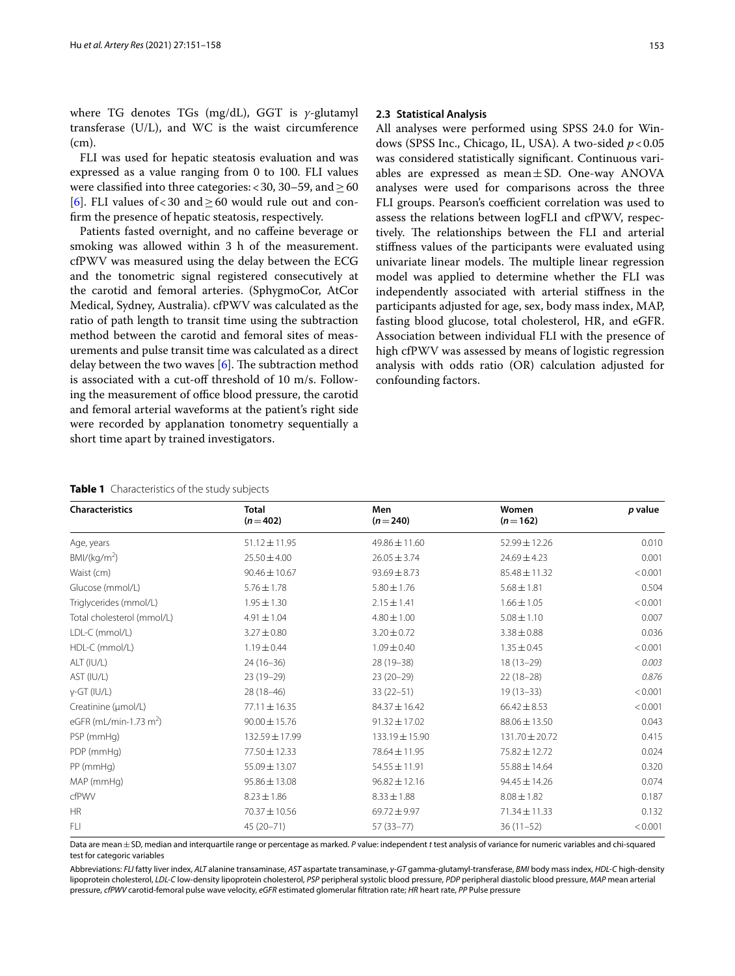where TG denotes TGs (mg/dL), GGT is *γ*-glutamyl transferase (U/L), and WC is the waist circumference (cm).

FLI was used for hepatic steatosis evaluation and was expressed as a value ranging from 0 to 100. FLI values were classified into three categories: <30, 30–59, and  $\geq$  60 [[6\]](#page-7-3). FLI values of <30 and  $\geq$  60 would rule out and confrm the presence of hepatic steatosis, respectively.

Patients fasted overnight, and no cafeine beverage or smoking was allowed within 3 h of the measurement. cfPWV was measured using the delay between the ECG and the tonometric signal registered consecutively at the carotid and femoral arteries. (SphygmoCor, AtCor Medical, Sydney, Australia). cfPWV was calculated as the ratio of path length to transit time using the subtraction method between the carotid and femoral sites of measurements and pulse transit time was calculated as a direct delay between the two waves  $[6]$  $[6]$ . The subtraction method is associated with a cut-of threshold of 10 m/s. Following the measurement of office blood pressure, the carotid and femoral arterial waveforms at the patient's right side were recorded by applanation tonometry sequentially a short time apart by trained investigators.

# **2.3 Statistical Analysis**

All analyses were performed using SPSS 24.0 for Windows (SPSS Inc., Chicago, IL, USA). A two-sided  $p < 0.05$ was considered statistically signifcant. Continuous variables are expressed as mean $\pm$ SD. One-way ANOVA analyses were used for comparisons across the three FLI groups. Pearson's coefficient correlation was used to assess the relations between logFLI and cfPWV, respectively. The relationships between the FLI and arterial stifness values of the participants were evaluated using univariate linear models. The multiple linear regression model was applied to determine whether the FLI was independently associated with arterial stifness in the participants adjusted for age, sex, body mass index, MAP, fasting blood glucose, total cholesterol, HR, and eGFR. Association between individual FLI with the presence of high cfPWV was assessed by means of logistic regression analysis with odds ratio (OR) calculation adjusted for confounding factors.

## <span id="page-2-0"></span>**Table 1** Characteristics of the study subjects

| <b>Characteristics</b>                     | <b>Total</b><br>$(n=402)$ | Men<br>$(n=240)$  | Women<br>$(n=162)$ | p value |
|--------------------------------------------|---------------------------|-------------------|--------------------|---------|
| Age, years                                 | $51.12 \pm 11.95$         | 49.86 ± 11.60     | 52.99 ± 12.26      | 0.010   |
| BMI/(kg/m <sup>2</sup> )                   | $25.50 \pm 4.00$          | $26.05 \pm 3.74$  | $24.69 \pm 4.23$   | 0.001   |
| Waist (cm)                                 | $90.46 \pm 10.67$         | $93.69 \pm 8.73$  | $85.48 \pm 11.32$  | < 0.001 |
| Glucose (mmol/L)                           | $5.76 \pm 1.78$           | $5.80 \pm 1.76$   | $5.68 \pm 1.81$    | 0.504   |
| Triglycerides (mmol/L)                     | $1.95 \pm 1.30$           | $2.15 \pm 1.41$   | $1.66 \pm 1.05$    | < 0.001 |
| Total cholesterol (mmol/L)                 | $4.91 \pm 1.04$           | $4.80 \pm 1.00$   | $5.08 \pm 1.10$    | 0.007   |
| LDL-C (mmol/L)                             | $3.27 \pm 0.80$           | $3.20 \pm 0.72$   | $3.38 \pm 0.88$    | 0.036   |
| HDL-C (mmol/L)                             | $1.19 \pm 0.44$           | $1.09 \pm 0.40$   | $1.35 \pm 0.45$    | < 0.001 |
| ALT (IU/L)                                 | $24(16-36)$               | 28 (19-38)        | $18(13-29)$        | 0.003   |
| AST (IU/L)                                 | $23(19-29)$               | $23(20-29)$       | $22(18-28)$        | 0.876   |
| $y$ -GT (IU/L)                             | $28(18-46)$               | $33(22-51)$       | $19(13-33)$        | < 0.001 |
| Creatinine (µmol/L)                        | $77.11 \pm 16.35$         | $84.37 \pm 16.42$ | $66.42 \pm 8.53$   | < 0.001 |
| eGFR (mL/min $\cdot$ 1.73 m <sup>2</sup> ) | $90.00 \pm 15.76$         | $91.32 \pm 17.02$ | 88.06 ± 13.50      | 0.043   |
| PSP (mmHg)                                 | 132.59 ± 17.99            | 133.19 ± 15.90    | 131.70 ± 20.72     | 0.415   |
| PDP (mmHg)                                 | 77.50 ± 12.33             | 78.64±11.95       | 75.82 ± 12.72      | 0.024   |
| PP (mmHg)                                  | 55.09 ± 13.07             | $54.55 \pm 11.91$ | $55.88 \pm 14.64$  | 0.320   |
| MAP (mmHg)                                 | $95.86 \pm 13.08$         | $96.82 \pm 12.16$ | $94.45 \pm 14.26$  | 0.074   |
| cfPWV                                      | $8.23 \pm 1.86$           | $8.33 \pm 1.88$   | $8.08 \pm 1.82$    | 0.187   |
| <b>HR</b>                                  | 70.37 ± 10.56             | 69.72 ± 9.97      | 71.34±11.33        | 0.132   |
| FLI                                        | $45(20 - 71)$             | 57 (33 - 77)      | $36(11-52)$        | < 0.001 |

Data are mean±SD, median and interquartile range or percentage as marked. *P* value: independent *t* test analysis of variance for numeric variables and chi-squared test for categoric variables

Abbreviations: *FLI* fatty liver index, *ALT* alanine transaminase, *AST* aspartate transaminase, *γ-GT* gamma-glutamyl-transferase, *BMI* body mass index, *HDL-C* high-density lipoprotein cholesterol, *LDL-C* low-density lipoprotein cholesterol, *PSP* peripheral systolic blood pressure, *PDP* peripheral diastolic blood pressure, *MAP* mean arterial pressure, *cfPWV* carotid-femoral pulse wave velocity, *eGFR* estimated glomerular fltration rate; *HR* heart rate, *PP* Pulse pressure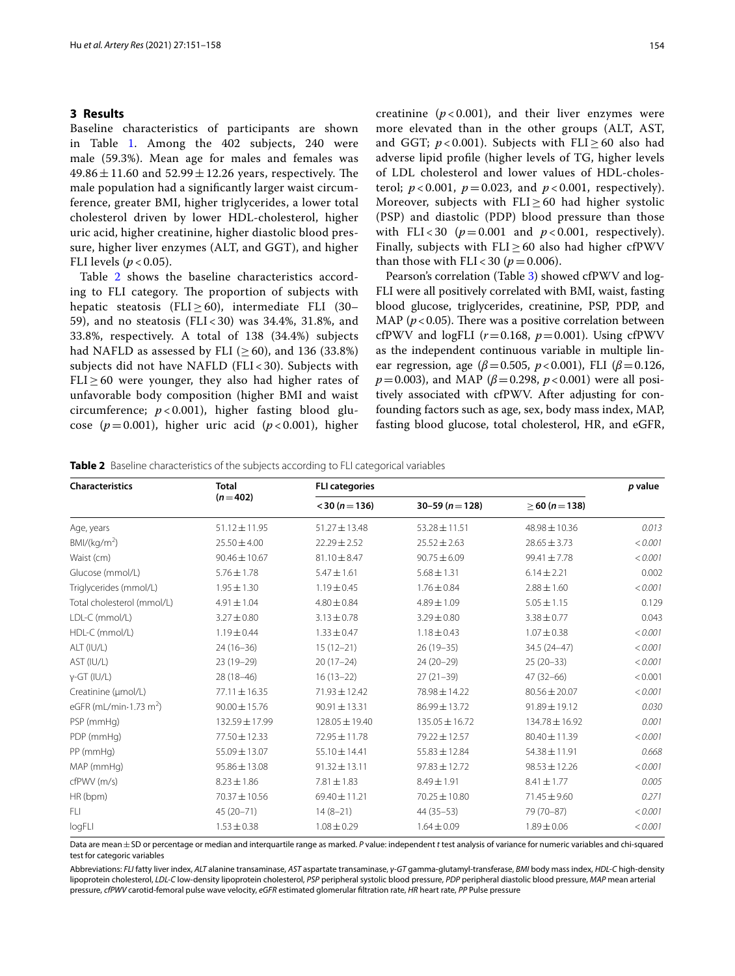# **3 Results**

Baseline characteristics of participants are shown in Table [1.](#page-2-0) Among the 402 subjects, 240 were male (59.3%). Mean age for males and females was  $49.86 \pm 11.60$  and  $52.99 \pm 12.26$  years, respectively. The male population had a signifcantly larger waist circumference, greater BMI, higher triglycerides, a lower total cholesterol driven by lower HDL-cholesterol, higher uric acid, higher creatinine, higher diastolic blood pressure, higher liver enzymes (ALT, and GGT), and higher FLI levels ( $p < 0.05$ ).

Table [2](#page-3-0) shows the baseline characteristics according to FLI category. The proportion of subjects with hepatic steatosis (FLI $\geq$  60), intermediate FLI (30– 59), and no steatosis (FLI < 30) was 34.4%, 31.8%, and 33.8%, respectively. A total of 138 (34.4%) subjects had NAFLD as assessed by FLI ( $>60$ ), and 136 (33.8%) subjects did not have NAFLD (FLI < 30). Subjects with  $FLI \geq 60$  were younger, they also had higher rates of unfavorable body composition (higher BMI and waist circumference; *p* < 0.001), higher fasting blood glucose  $(p=0.001)$ , higher uric acid  $(p<0.001)$ , higher creatinine  $(p < 0.001)$ , and their liver enzymes were more elevated than in the other groups (ALT, AST, and GGT;  $p < 0.001$ ). Subjects with FLI > 60 also had adverse lipid profle (higher levels of TG, higher levels of LDL cholesterol and lower values of HDL-cholesterol;  $p < 0.001$ ,  $p = 0.023$ , and  $p < 0.001$ , respectively). Moreover, subjects with  $FLI \geq 60$  had higher systolic (PSP) and diastolic (PDP) blood pressure than those with FLI < 30  $(p=0.001$  and  $p < 0.001$ , respectively). Finally, subjects with  $FLI \geq 60$  also had higher cfPWV than those with  $FLI < 30 (p = 0.006)$ .

Pearson's correlation (Table [3\)](#page-4-0) showed cfPWV and log-FLI were all positively correlated with BMI, waist, fasting blood glucose, triglycerides, creatinine, PSP, PDP, and MAP ( $p < 0.05$ ). There was a positive correlation between cfPWV and logFLI  $(r=0.168, p=0.001)$ . Using cfPWV as the independent continuous variable in multiple linear regression, age (*β*=0.505, *p*<0.001), FLI (*β*=0.126, *p*=0.003), and MAP ( $\beta$ =0.298, *p* <0.001) were all positively associated with cfPWV. After adjusting for confounding factors such as age, sex, body mass index, MAP, fasting blood glucose, total cholesterol, HR, and eGFR,

<span id="page-3-0"></span>

|  | <b>Table 2</b> Baseline characteristics of the subjects according to FLI categorical variables |  |  |  |
|--|------------------------------------------------------------------------------------------------|--|--|--|
|  |                                                                                                |  |  |  |

| <b>Characteristics</b>                     | <b>Total</b>      | <b>FLI categories</b> | p value            |                   |         |
|--------------------------------------------|-------------------|-----------------------|--------------------|-------------------|---------|
|                                            | $(n=402)$         | $<$ 30 (n = 136)      | $30-59(n=128)$     | $>60 (n=138)$     |         |
| Age, years                                 | $51.12 \pm 11.95$ | 51.27±13.48           | $53.28 \pm 11.51$  | 48.98 ± 10.36     | 0.013   |
| $BMI/(kq/m^2)$                             | $25.50 \pm 4.00$  | $22.29 \pm 2.52$      | $25.52 \pm 2.63$   | $28.65 \pm 3.73$  | < 0.001 |
| Waist (cm)                                 | $90.46 \pm 10.67$ | $81.10 \pm 8.47$      | $90.75 \pm 6.09$   | $99.41 \pm 7.78$  | < 0.001 |
| Glucose (mmol/L)                           | $5.76 \pm 1.78$   | $5.47 \pm 1.61$       | $5.68 \pm 1.31$    | $6.14 \pm 2.21$   | 0.002   |
| Triglycerides (mmol/L)                     | $1.95 \pm 1.30$   | $1.19 \pm 0.45$       | $1.76 \pm 0.84$    | $2.88 \pm 1.60$   | < 0.001 |
| Total cholesterol (mmol/L)                 | $4.91 \pm 1.04$   | $4.80 \pm 0.84$       | $4.89 \pm 1.09$    | $5.05 \pm 1.15$   | 0.129   |
| LDL-C (mmol/L)                             | $3.27 \pm 0.80$   | $3.13 \pm 0.78$       | $3.29 \pm 0.80$    | $3.38 \pm 0.77$   | 0.043   |
| HDL-C (mmol/L)                             | $1.19 \pm 0.44$   | $1.33 \pm 0.47$       | $1.18 \pm 0.43$    | $1.07 \pm 0.38$   | < 0.001 |
| ALT (IU/L)                                 | $24(16-36)$       | $15(12-21)$           | $26(19-35)$        | $34.5(24 - 47)$   | < 0.001 |
| AST (IU/L)                                 | $23(19-29)$       | $20(17-24)$           | $24(20-29)$        | $25(20-33)$       | < 0.001 |
| $y$ -GT (IU/L)                             | $28(18-46)$       | $16(13-22)$           | $27(21-39)$        | $47(32 - 66)$     | < 0.001 |
| Creatinine (µmol/L)                        | $77.11 \pm 16.35$ | 71.93 ± 12.42         | 78.98 ± 14.22      | $80.56 \pm 20.07$ | < 0.001 |
| eGFR (mL/min $\cdot$ 1.73 m <sup>2</sup> ) | $90.00 \pm 15.76$ | $90.91 \pm 13.31$     | 86.99 ± 13.72      | 91.89±19.12       | 0.030   |
| PSP (mmHg)                                 | 132.59 ± 17.99    | 128.05 ± 19.40        | $135.05 \pm 16.72$ | 134.78 ± 16.92    | 0.001   |
| PDP (mmHg)                                 | 77.50 ± 12.33     | 72.95 ± 11.78         | 79.22 ± 12.57      | 80.40 ± 11.39     | < 0.001 |
| PP (mmHg)                                  | $55.09 \pm 13.07$ | 55.10±14.41           | $55.83 \pm 12.84$  | 54.38 ± 11.91     | 0.668   |
| MAP (mmHg)                                 | $95.86 \pm 13.08$ | $91.32 \pm 13.11$     | $97.83 \pm 12.72$  | $98.53 \pm 12.26$ | < 0.001 |
| cfPWV (m/s)                                | $8.23 \pm 1.86$   | $7.81 \pm 1.83$       | $8.49 \pm 1.91$    | $8.41 \pm 1.77$   | 0.005   |
| HR (bpm)                                   | 70.37 ± 10.56     | $69.40 \pm 11.21$     | $70.25 \pm 10.80$  | $71.45 \pm 9.60$  | 0.271   |
| FLI.                                       | $45(20 - 71)$     | $14(8-21)$            | $44(35-53)$        | 79 (70-87)        | < 0.001 |
| logFLI                                     | $1.53 \pm 0.38$   | $1.08 \pm 0.29$       | $1.64 \pm 0.09$    | $1.89 \pm 0.06$   | < 0.001 |

Data are mean±SD or percentage or median and interquartile range as marked. *P* value: independent *t* test analysis of variance for numeric variables and chi-squared test for categoric variables

Abbreviations: *FLI* fatty liver index, *ALT* alanine transaminase, *AST* aspartate transaminase, *γ-GT* gamma-glutamyl-transferase, *BMI* body mass index, *HDL-C* high-density lipoprotein cholesterol, *LDL-C* low-density lipoprotein cholesterol, *PSP* peripheral systolic blood pressure, *PDP* peripheral diastolic blood pressure, *MAP* mean arterial pressure, *cfPWV* carotid-femoral pulse wave velocity, *eGFR* estimated glomerular fltration rate, *HR* heart rate, *PP* Pulse pressure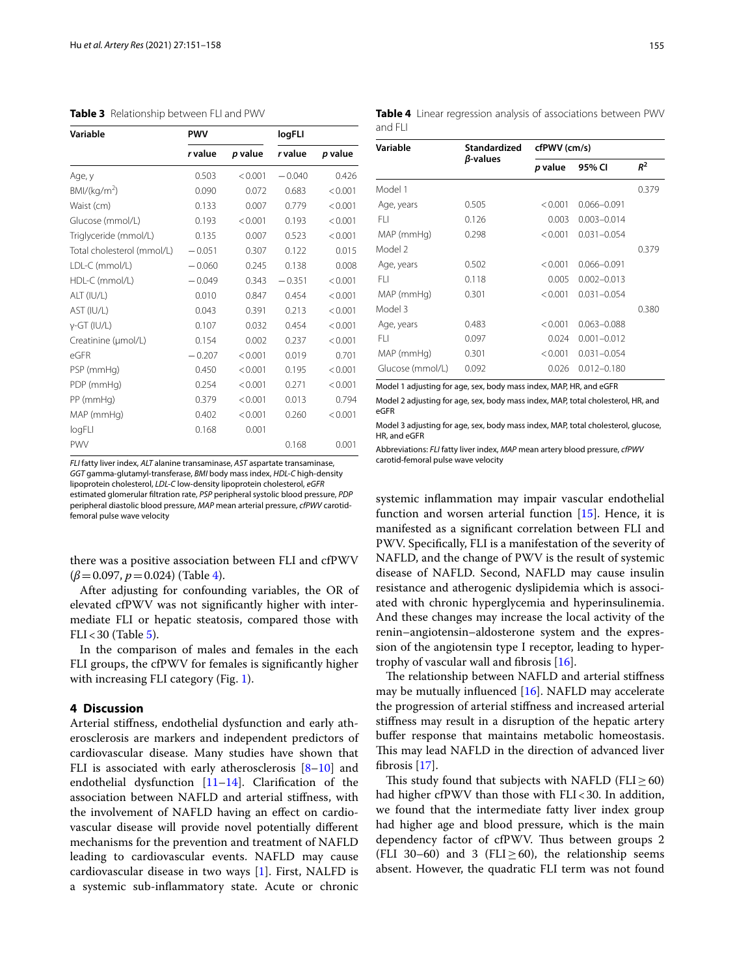<span id="page-4-0"></span>

| Variable                   | <b>PWV</b> |         | logFLI   |         |
|----------------------------|------------|---------|----------|---------|
|                            | r value    | p value | r value  | p value |
| Age, y                     | 0.503      | < 0.001 | $-0.040$ | 0.426   |
| $BMI/(kq/m^2)$             | 0.090      | 0.072   | 0.683    | < 0.001 |
| Waist (cm)                 | 0.133      | 0.007   | 0.779    | < 0.001 |
| Glucose (mmol/L)           | 0.193      | < 0.001 | 0.193    | < 0.001 |
| Triglyceride (mmol/L)      | 0.135      | 0.007   | 0.523    | < 0.001 |
| Total cholesterol (mmol/L) | $-0.051$   | 0.307   | 0.122    | 0.015   |
| LDL-C (mmol/L)             | $-0.060$   | 0.245   | 0.138    | 0.008   |
| HDL-C (mmol/L)             | $-0.049$   | 0.343   | $-0.351$ | < 0.001 |
| ALT (IU/L)                 | 0.010      | 0.847   | 0.454    | < 0.001 |
| AST (IU/L)                 | 0.043      | 0.391   | 0.213    | < 0.001 |
| γ-GT (IU/L)                | 0.107      | 0.032   | 0.454    | < 0.001 |
| Creatinine (µmol/L)        | 0.154      | 0.002   | 0.237    | < 0.001 |
| eGFR                       | $-0.207$   | < 0.001 | 0.019    | 0.701   |
| PSP (mmHg)                 | 0.450      | < 0.001 | 0.195    | < 0.001 |
| PDP (mmHg)                 | 0.254      | < 0.001 | 0.271    | < 0.001 |
| PP (mmHg)                  | 0.379      | < 0.001 | 0.013    | 0.794   |
| MAP (mmHg)                 | 0.402      | < 0.001 | 0.260    | < 0.001 |
| logFLI                     | 0.168      | 0.001   |          |         |
| PWV                        |            |         | 0.168    | 0.001   |

*FLI* fatty liver index, *ALT* alanine transaminase, *AST* aspartate transaminase, *GGT* gamma-glutamyl-transferase, *BMI* body mass index, *HDL-C* high-density lipoprotein cholesterol, *LDL-C* low-density lipoprotein cholesterol, *eGFR* estimated glomerular fltration rate, *PSP* peripheral systolic blood pressure, *PDP* peripheral diastolic blood pressure, *MAP* mean arterial pressure, *cfPWV* carotidfemoral pulse wave velocity

there was a positive association between FLI and cfPWV (*β*=0.097, *p*=0.024) (Table [4](#page-4-1)).

After adjusting for confounding variables, the OR of elevated cfPWV was not signifcantly higher with intermediate FLI or hepatic steatosis, compared those with  $FLI < 30$  (Table  $5$ ).

In the comparison of males and females in the each FLI groups, the cfPWV for females is signifcantly higher with increasing FLI category (Fig. [1](#page-5-1)).

# **4 Discussion**

Arterial stifness, endothelial dysfunction and early atherosclerosis are markers and independent predictors of cardiovascular disease. Many studies have shown that FLI is associated with early atherosclerosis [\[8](#page-7-5)[–10\]](#page-7-6) and endothelial dysfunction  $[11-14]$  $[11-14]$ . Clarification of the association between NAFLD and arterial stifness, with the involvement of NAFLD having an efect on cardiovascular disease will provide novel potentially diferent mechanisms for the prevention and treatment of NAFLD leading to cardiovascular events. NAFLD may cause cardiovascular disease in two ways [[1\]](#page-6-0). First, NALFD is a systemic sub-infammatory state. Acute or chronic <span id="page-4-1"></span>**Table 4** Linear regression analysis of associations between PWV and FLI

| Variable         | Standardized    | cfPWV (cm/s) |                 |       |
|------------------|-----------------|--------------|-----------------|-------|
|                  | $\beta$ -values | p value      | 95% CI          | $R^2$ |
| Model 1          |                 |              |                 | 0.379 |
| Age, years       | 0.505           | < 0.001      | 0.066-0.091     |       |
| FI I             | 0.126           | 0.003        | $0.003 - 0.014$ |       |
| MAP (mmHg)       | 0.298           | < 0.001      | $0.031 - 0.054$ |       |
| Model 2          |                 |              |                 | 0.379 |
| Age, years       | 0.502           | < 0.001      | 0.066-0.091     |       |
| FI I             | 0.118           | 0.005        | $0.002 - 0.013$ |       |
| MAP (mmHq)       | 0.301           | < 0.001      | $0.031 - 0.054$ |       |
| Model 3          |                 |              |                 | 0.380 |
| Age, years       | 0.483           | < 0.001      | $0.063 - 0.088$ |       |
| FI I             | 0.097           | 0.024        | $0.001 - 0.012$ |       |
| MAP (mmHg)       | 0.301           | < 0.001      | $0.031 - 0.054$ |       |
| Glucose (mmol/L) | 0.092           | 0.026        | $0.012 - 0.180$ |       |

Model 1 adjusting for age, sex, body mass index, MAP, HR, and eGFR

Model 2 adjusting for age, sex, body mass index, MAP, total cholesterol, HR, and eGFR

Model 3 adjusting for age, sex, body mass index, MAP, total cholesterol, glucose, HR, and eGFR

Abbreviations: *FLI* fatty liver index, *MAP* mean artery blood pressure, *cfPWV* carotid-femoral pulse wave velocity

systemic infammation may impair vascular endothelial function and worsen arterial function  $[15]$ . Hence, it is manifested as a signifcant correlation between FLI and PWV. Specifcally, FLI is a manifestation of the severity of NAFLD, and the change of PWV is the result of systemic disease of NAFLD. Second, NAFLD may cause insulin resistance and atherogenic dyslipidemia which is associated with chronic hyperglycemia and hyperinsulinemia. And these changes may increase the local activity of the renin–angiotensin–aldosterone system and the expression of the angiotensin type I receptor, leading to hyper-trophy of vascular wall and fibrosis [\[16](#page-7-10)].

The relationship between NAFLD and arterial stiffness may be mutually infuenced [[16\]](#page-7-10). NAFLD may accelerate the progression of arterial stifness and increased arterial stifness may result in a disruption of the hepatic artery bufer response that maintains metabolic homeostasis. This may lead NAFLD in the direction of advanced liver fbrosis [[17\]](#page-7-11).

This study found that subjects with NAFLD (FLI $\geq$ 60) had higher cfPWV than those with  $FLI < 30$ . In addition, we found that the intermediate fatty liver index group had higher age and blood pressure, which is the main dependency factor of cfPWV. Thus between groups 2 (FLI 30–60) and 3 (FLI $\geq$  60), the relationship seems absent. However, the quadratic FLI term was not found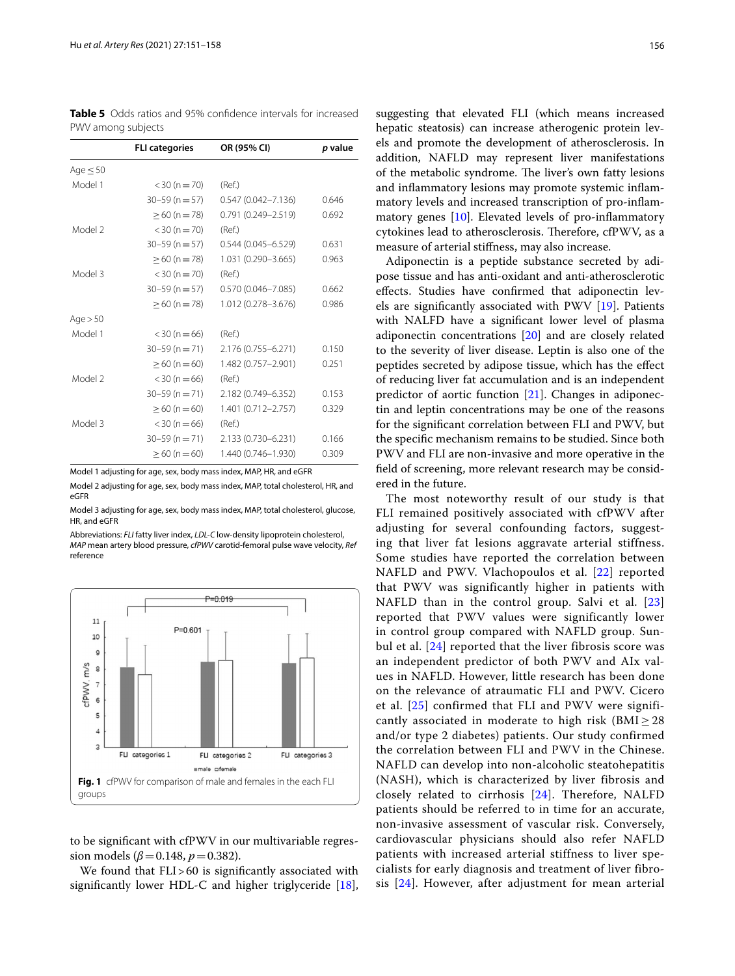<span id="page-5-0"></span>**Table 5** Odds ratios and 95% confdence intervals for increased PWV among subjects

|               | <b>FLI categories</b> | OR (95% CI)            | p value |
|---------------|-----------------------|------------------------|---------|
| Age $\leq$ 50 |                       |                        |         |
| Model 1       | $<$ 30 (n = 70)       | (Ref.)                 |         |
|               | $30 - 59$ (n = 57)    | $0.547(0.042 - 7.136)$ | 0.646   |
|               | $\geq$ 60 (n = 78)    | $0.791(0.249 - 2.519)$ | 0.692   |
| Model 2       | $<$ 30 (n = 70)       | (Ref.)                 |         |
|               | $30 - 59$ (n = 57)    | $0.544(0.045 - 6.529)$ | 0.631   |
|               | $\geq 60$ (n = 78)    | 1.031 (0.290-3.665)    | 0.963   |
| Model 3       | $<$ 30 (n $=$ 70)     | (Ref.)                 |         |
|               | $30 - 59$ (n = 57)    | $0.570(0.046 - 7.085)$ | 0.662   |
|               | $>60 (n = 78)$        | 1.012 (0.278-3.676)    | 0.986   |
| Age > 50      |                       |                        |         |
| Model 1       | $<$ 30 (n = 66)       | (Ref.)                 |         |
|               | $30 - 59$ (n = 71)    | 2.176 (0.755-6.271)    | 0.150   |
|               | $\geq 60$ (n = 60)    | 1.482 (0.757-2.901)    | 0.251   |
| Model 2       | $<$ 30 (n = 66)       | (Ref.)                 |         |
|               | $30 - 59$ (n = 71)    | 2.182 (0.749-6.352)    | 0.153   |
|               | $>60 (n=60)$          | 1.401 (0.712-2.757)    | 0.329   |
| Model 3       | $<$ 30 (n = 66)       | (Ref.)                 |         |
|               | $30 - 59$ (n = 71)    | 2.133 (0.730-6.231)    | 0.166   |
|               | $>60 (n=60)$          | 1.440 (0.746-1.930)    | 0.309   |

Model 1 adjusting for age, sex, body mass index, MAP, HR, and eGFR

Model 2 adjusting for age, sex, body mass index, MAP, total cholesterol, HR, and eGFR

Model 3 adjusting for age, sex, body mass index, MAP, total cholesterol, glucose, HR, and eGFR

Abbreviations: *FLI* fatty liver index, *LDL-C* low-density lipoprotein cholesterol, *MAP* mean artery blood pressure, *cfPWV* carotid-femoral pulse wave velocity, *Ref* reference



<span id="page-5-1"></span>to be signifcant with cfPWV in our multivariable regression models ( $\beta$ =0.148,  $p$ =0.382).

We found that FLI>60 is significantly associated with signifcantly lower HDL-C and higher triglyceride [\[18](#page-7-12)],

suggesting that elevated FLI (which means increased hepatic steatosis) can increase atherogenic protein levels and promote the development of atherosclerosis. In addition, NAFLD may represent liver manifestations of the metabolic syndrome. The liver's own fatty lesions and infammatory lesions may promote systemic infammatory levels and increased transcription of pro-infammatory genes [\[10](#page-7-6)]. Elevated levels of pro-infammatory cytokines lead to atherosclerosis. Therefore, cfPWV, as a measure of arterial stifness, may also increase.

Adiponectin is a peptide substance secreted by adipose tissue and has anti-oxidant and anti-atherosclerotic efects. Studies have confrmed that adiponectin levels are signifcantly associated with PWV [[19\]](#page-7-13). Patients with NALFD have a signifcant lower level of plasma adiponectin concentrations [[20\]](#page-7-14) and are closely related to the severity of liver disease. Leptin is also one of the peptides secreted by adipose tissue, which has the efect of reducing liver fat accumulation and is an independent predictor of aortic function [[21\]](#page-7-15). Changes in adiponectin and leptin concentrations may be one of the reasons for the signifcant correlation between FLI and PWV, but the specifc mechanism remains to be studied. Since both PWV and FLI are non-invasive and more operative in the feld of screening, more relevant research may be considered in the future.

The most noteworthy result of our study is that FLI remained positively associated with cfPWV after adjusting for several confounding factors, suggesting that liver fat lesions aggravate arterial stiffness. Some studies have reported the correlation between NAFLD and PWV. Vlachopoulos et al. [[22\]](#page-7-16) reported that PWV was significantly higher in patients with NAFLD than in the control group. Salvi et al. [[23](#page-7-17)] reported that PWV values were significantly lower in control group compared with NAFLD group. Sunbul et al. [\[24\]](#page-7-18) reported that the liver fibrosis score was an independent predictor of both PWV and AIx values in NAFLD. However, little research has been done on the relevance of atraumatic FLI and PWV. Cicero et al. [[25\]](#page-7-19) confirmed that FLI and PWV were significantly associated in moderate to high risk ( $\text{BMI} \geq 28$ ) and/or type 2 diabetes) patients. Our study confirmed the correlation between FLI and PWV in the Chinese. NAFLD can develop into non-alcoholic steatohepatitis (NASH), which is characterized by liver fibrosis and closely related to cirrhosis [[24](#page-7-18)]. Therefore, NALFD patients should be referred to in time for an accurate, non-invasive assessment of vascular risk. Conversely, cardiovascular physicians should also refer NAFLD patients with increased arterial stiffness to liver specialists for early diagnosis and treatment of liver fibrosis [[24](#page-7-18)]. However, after adjustment for mean arterial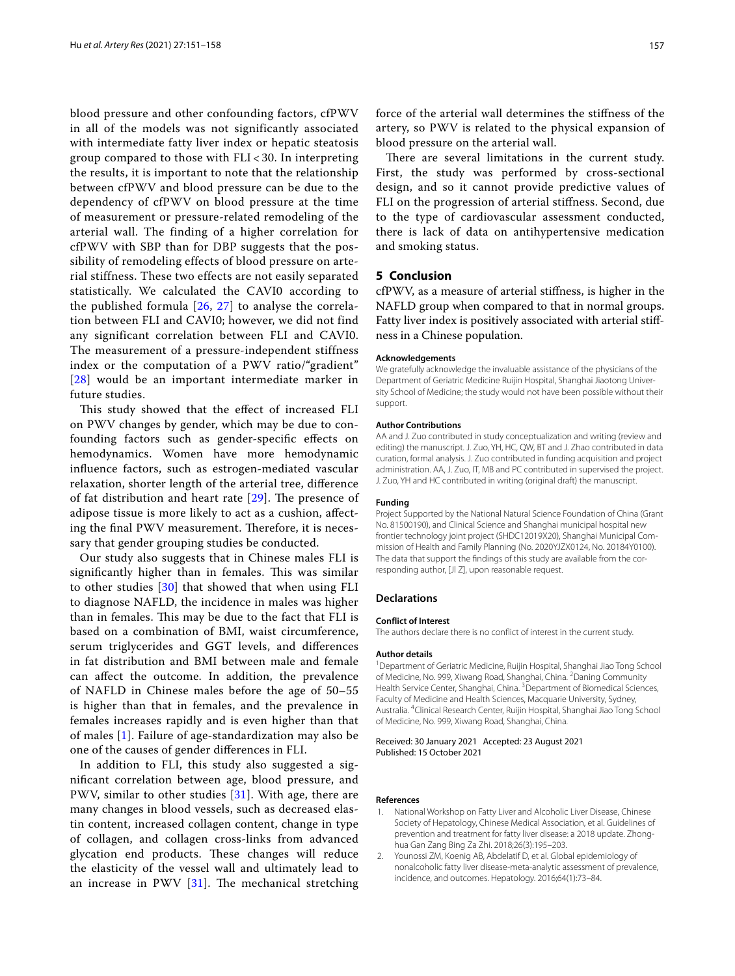blood pressure and other confounding factors, cfPWV in all of the models was not significantly associated with intermediate fatty liver index or hepatic steatosis group compared to those with FLI < 30. In interpreting the results, it is important to note that the relationship between cfPWV and blood pressure can be due to the dependency of cfPWV on blood pressure at the time of measurement or pressure-related remodeling of the arterial wall. The finding of a higher correlation for cfPWV with SBP than for DBP suggests that the possibility of remodeling effects of blood pressure on arterial stiffness. These two effects are not easily separated statistically. We calculated the CAVI0 according to the published formula [[26,](#page-7-20) [27](#page-7-21)] to analyse the correlation between FLI and CAVI0; however, we did not find any significant correlation between FLI and CAVI0. The measurement of a pressure-independent stiffness index or the computation of a PWV ratio/"gradient" [[28](#page-7-22)] would be an important intermediate marker in future studies.

This study showed that the effect of increased FLI on PWV changes by gender, which may be due to confounding factors such as gender-specifc efects on hemodynamics. Women have more hemodynamic infuence factors, such as estrogen-mediated vascular relaxation, shorter length of the arterial tree, diference of fat distribution and heart rate  $[29]$  $[29]$ . The presence of adipose tissue is more likely to act as a cushion, afecting the final PWV measurement. Therefore, it is necessary that gender grouping studies be conducted.

Our study also suggests that in Chinese males FLI is significantly higher than in females. This was similar to other studies [[30](#page-7-24)] that showed that when using FLI to diagnose NAFLD, the incidence in males was higher than in females. This may be due to the fact that FLI is based on a combination of BMI, waist circumference, serum triglycerides and GGT levels, and diferences in fat distribution and BMI between male and female can afect the outcome. In addition, the prevalence of NAFLD in Chinese males before the age of 50–55 is higher than that in females, and the prevalence in females increases rapidly and is even higher than that of males [[1](#page-6-0)]. Failure of age-standardization may also be one of the causes of gender diferences in FLI.

In addition to FLI, this study also suggested a signifcant correlation between age, blood pressure, and PWV, similar to other studies [[31\]](#page-7-25). With age, there are many changes in blood vessels, such as decreased elastin content, increased collagen content, change in type of collagen, and collagen cross-links from advanced glycation end products. These changes will reduce the elasticity of the vessel wall and ultimately lead to an increase in PWV  $[31]$  $[31]$  $[31]$ . The mechanical stretching

force of the arterial wall determines the stifness of the artery, so PWV is related to the physical expansion of blood pressure on the arterial wall.

There are several limitations in the current study. First, the study was performed by cross-sectional design, and so it cannot provide predictive values of FLI on the progression of arterial stifness. Second, due to the type of cardiovascular assessment conducted, there is lack of data on antihypertensive medication and smoking status.

# **5 Conclusion**

cfPWV, as a measure of arterial stifness, is higher in the NAFLD group when compared to that in normal groups. Fatty liver index is positively associated with arterial stifness in a Chinese population.

#### **Acknowledgements**

We gratefully acknowledge the invaluable assistance of the physicians of the Department of Geriatric Medicine Ruijin Hospital, Shanghai Jiaotong University School of Medicine; the study would not have been possible without their support.

#### **Author Contributions**

AA and J. Zuo contributed in study conceptualization and writing (review and editing) the manuscript. J. Zuo, YH, HC, QW, BT and J. Zhao contributed in data curation, formal analysis. J. Zuo contributed in funding acquisition and project administration. AA, J. Zuo, IT, MB and PC contributed in supervised the project. J. Zuo, YH and HC contributed in writing (original draft) the manuscript.

# **Funding**

Project Supported by the National Natural Science Foundation of China (Grant No. 81500190), and Clinical Science and Shanghai municipal hospital new frontier technology joint project (SHDC12019X20), Shanghai Municipal Commission of Health and Family Planning (No. 2020YJZX0124, No. 20184Y0100). The data that support the fndings of this study are available from the corresponding author, [Jl Z], upon reasonable request.

#### **Declarations**

#### **Conflict of Interest**

The authors declare there is no confict of interest in the current study.

#### **Author details**

<sup>1</sup> Department of Geriatric Medicine, Ruijin Hospital, Shanghai Jiao Tong School of Medicine, No. 999, Xiwang Road, Shanghai, China. <sup>2</sup>Daning Community Health Service Center, Shanghai, China. <sup>3</sup> Department of Biomedical Sciences, Faculty of Medicine and Health Sciences, Macquarie University, Sydney, Australia. 4 Clinical Research Center, Ruijin Hospital, Shanghai Jiao Tong School of Medicine, No. 999, Xiwang Road, Shanghai, China.

#### Received: 30 January 2021 Accepted: 23 August 2021 Published: 15 October 2021

#### **References**

- <span id="page-6-0"></span>1. National Workshop on Fatty Liver and Alcoholic Liver Disease, Chinese Society of Hepatology, Chinese Medical Association, et al. Guidelines of prevention and treatment for fatty liver disease: a 2018 update. Zhonghua Gan Zang Bing Za Zhi. 2018;26(3):195–203.
- <span id="page-6-1"></span>2. Younossi ZM, Koenig AB, Abdelatif D, et al. Global epidemiology of nonalcoholic fatty liver disease-meta-analytic assessment of prevalence, incidence, and outcomes. Hepatology. 2016;64(1):73–84.